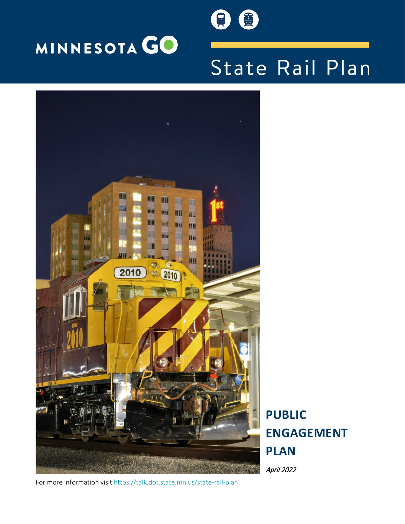



# State Rail Plan



**PUBLIC ENGAGEMENT PLAN**

April 2022

For more information visit <https://talk.dot.state.mn.us/state-rail-plan>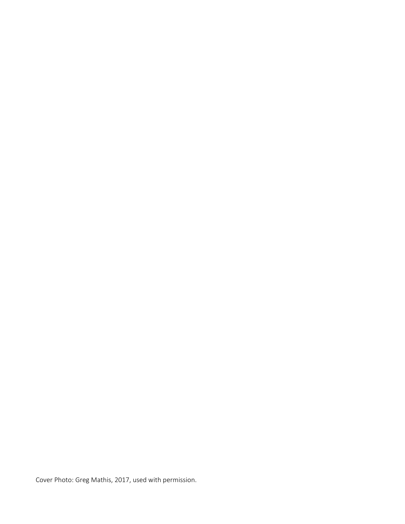Cover Photo: Greg Mathis, 2017, used with permission.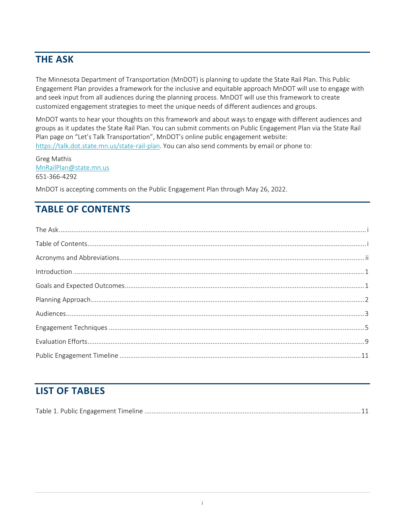# <span id="page-2-0"></span>**THE ASK**

The Minnesota Department of Transportation (MnDOT) is planning to update the State Rail Plan. This Public Engagement Plan provides a framework for the inclusive and equitable approach MnDOT will use to engage with and seek input from all audiences during the planning process. MnDOT will use this framework to create customized engagement strategies to meet the unique needs of different audiences and groups.

MnDOT wants to hear your thoughts on this framework and about ways to engage with different audiences and groups as it updates the State Rail Plan. You can submit comments on Public Engagement Plan via the State Rail Plan page on "Let's Talk Transportation", MnDOT's online public engagement website: [https://talk.dot.state.mn.us/state-rail-plan.](https://talk.dot.state.mn.us/state-rail-plan) You can also send comments by email or phone to:

Greg Mathis [MnRailPlan@state.mn.us](mailto:MnRailPlan@state.mn.us) 651-366-4292

MnDOT is accepting comments on the Public Engagement Plan through May 26, 2022.

# <span id="page-2-1"></span>**TABLE OF CONTENTS**

# **LIST OF TABLES**

|--|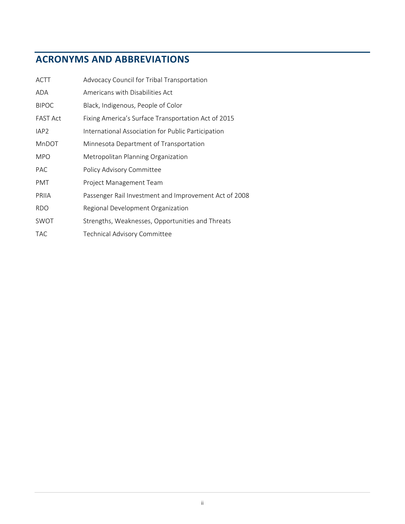# <span id="page-3-0"></span>**ACRONYMS AND ABBREVIATIONS**

| <b>ACTT</b>      | Advocacy Council for Tribal Transportation            |
|------------------|-------------------------------------------------------|
| ADA              | Americans with Disabilities Act                       |
| <b>BIPOC</b>     | Black, Indigenous, People of Color                    |
| <b>FAST Act</b>  | Fixing America's Surface Transportation Act of 2015   |
| IAP <sub>2</sub> | International Association for Public Participation    |
| MnDOT            | Minnesota Department of Transportation                |
| <b>MPO</b>       | Metropolitan Planning Organization                    |
| <b>PAC</b>       | Policy Advisory Committee                             |
| <b>PMT</b>       | Project Management Team                               |
| PRIIA            | Passenger Rail Investment and Improvement Act of 2008 |
| <b>RDO</b>       | Regional Development Organization                     |
| SWOT             | Strengths, Weaknesses, Opportunities and Threats      |
| TAC              | <b>Technical Advisory Committee</b>                   |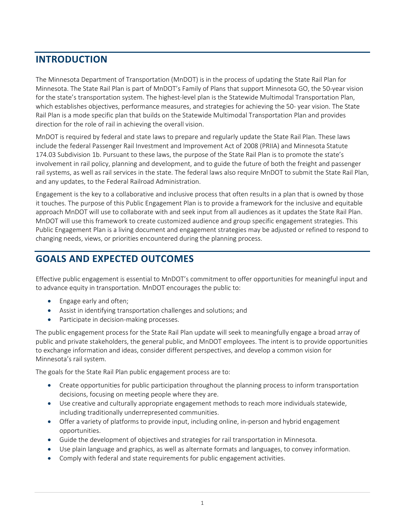# <span id="page-4-0"></span>**INTRODUCTION**

The Minnesota Department of Transportation (MnDOT) is in the process of updating the State Rail Plan for Minnesota. The State Rail Plan is part of MnDOT's Family of Plans that support Minnesota GO, the 50-year vision for the state's transportation system. The highest-level plan is the Statewide Multimodal Transportation Plan, which establishes objectives, performance measures, and strategies for achieving the 50- year vision. The State Rail Plan is a mode specific plan that builds on the Statewide Multimodal Transportation Plan and provides direction for the role of rail in achieving the overall vision.

MnDOT is required by federal and state laws to prepare and regularly update the State Rail Plan. These laws include the federal Passenger Rail Investment and Improvement Act of 2008 (PRIIA) and Minnesota Statute 174.03 Subdivision 1b. Pursuant to these laws, the purpose of the State Rail Plan is to promote the state's involvement in rail policy, planning and development, and to guide the future of both the freight and passenger rail systems, as well as rail services in the state. The federal laws also require MnDOT to submit the State Rail Plan, and any updates, to the Federal Railroad Administration.

Engagement is the key to a collaborative and inclusive process that often results in a plan that is owned by those it touches. The purpose of this Public Engagement Plan is to provide a framework for the inclusive and equitable approach MnDOT will use to collaborate with and seek input from all audiences as it updates the State Rail Plan. MnDOT will use this framework to create customized audience and group specific engagement strategies. This Public Engagement Plan is a living document and engagement strategies may be adjusted or refined to respond to changing needs, views, or priorities encountered during the planning process.

# <span id="page-4-1"></span>**GOALS AND EXPECTED OUTCOMES**

Effective public engagement is essential to MnDOT's commitment to offer opportunities for meaningful input and to advance equity in transportation. MnDOT encourages the public to:

- Engage early and often;
- Assist in identifying transportation challenges and solutions; and
- Participate in decision-making processes.

The public engagement process for the State Rail Plan update will seek to meaningfully engage a broad array of public and private stakeholders, the general public, and MnDOT employees. The intent is to provide opportunities to exchange information and ideas, consider different perspectives, and develop a common vision for Minnesota's rail system.

The goals for the State Rail Plan public engagement process are to:

- Create opportunities for public participation throughout the planning process to inform transportation decisions, focusing on meeting people where they are.
- Use creative and culturally appropriate engagement methods to reach more individuals statewide, including traditionally underrepresented communities.
- Offer a variety of platforms to provide input, including online, in-person and hybrid engagement opportunities.
- Guide the development of objectives and strategies for rail transportation in Minnesota.
- Use plain language and graphics, as well as alternate formats and languages, to convey information.
- Comply with federal and state requirements for public engagement activities.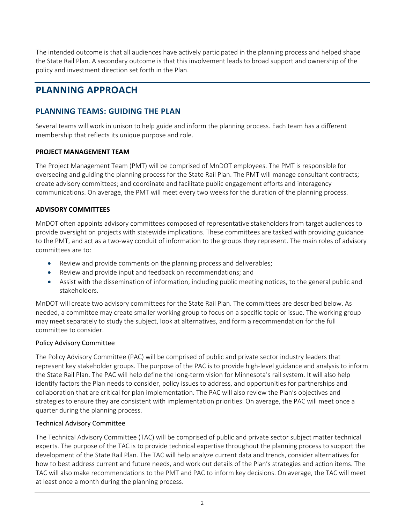The intended outcome is that all audiences have actively participated in the planning process and helped shape the State Rail Plan. A secondary outcome is that this involvement leads to broad support and ownership of the policy and investment direction set forth in the Plan.

# <span id="page-5-0"></span>**PLANNING APPROACH**

### **PLANNING TEAMS: GUIDING THE PLAN**

Several teams will work in unison to help guide and inform the planning process. Each team has a different membership that reflects its unique purpose and role.

#### **PROJECT MANAGEMENT TEAM**

The Project Management Team (PMT) will be comprised of MnDOT employees. The PMT is responsible for overseeing and guiding the planning process for the State Rail Plan. The PMT will manage consultant contracts; create advisory committees; and coordinate and facilitate public engagement efforts and interagency communications. On average, the PMT will meet every two weeks for the duration of the planning process.

#### **ADVISORY COMMITTEES**

MnDOT often appoints advisory committees composed of representative stakeholders from target audiences to provide oversight on projects with statewide implications. These committees are tasked with providing guidance to the PMT, and act as a two-way conduit of information to the groups they represent. The main roles of advisory committees are to:

- Review and provide comments on the planning process and deliverables;
- Review and provide input and feedback on recommendations; and
- Assist with the dissemination of information, including public meeting notices, to the general public and stakeholders.

MnDOT will create two advisory committees for the State Rail Plan. The committees are described below. As needed, a committee may create smaller working group to focus on a specific topic or issue. The working group may meet separately to study the subject, look at alternatives, and form a recommendation for the full committee to consider.

#### Policy Advisory Committee

The Policy Advisory Committee (PAC) will be comprised of public and private sector industry leaders that represent key stakeholder groups. The purpose of the PAC is to provide high-level guidance and analysis to inform the State Rail Plan. The PAC will help define the long-term vision for Minnesota's rail system. It will also help identify factors the Plan needs to consider, policy issues to address, and opportunities for partnerships and collaboration that are critical for plan implementation. The PAC will also review the Plan's objectives and strategies to ensure they are consistent with implementation priorities. On average, the PAC will meet once a quarter during the planning process.

#### Technical Advisory Committee

The Technical Advisory Committee (TAC) will be comprised of public and private sector subject matter technical experts. The purpose of the TAC is to provide technical expertise throughout the planning process to support the development of the State Rail Plan. The TAC will help analyze current data and trends, consider alternatives for how to best address current and future needs, and work out details of the Plan's strategies and action items. The TAC will also make recommendations to the PMT and PAC to inform key decisions. On average, the TAC will meet at least once a month during the planning process.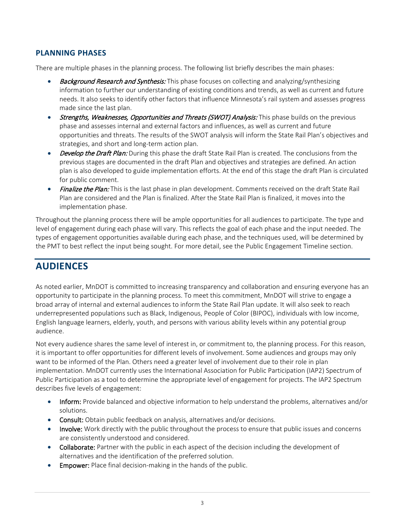### **PLANNING PHASES**

There are multiple phases in the planning process. The following list briefly describes the main phases:

- **Background Research and Synthesis:** This phase focuses on collecting and analyzing/synthesizing information to further our understanding of existing conditions and trends, as well as current and future needs. It also seeks to identify other factors that influence Minnesota's rail system and assesses progress made since the last plan.
- Strengths, Weaknesses, Opportunities and Threats (SWOT) Analysis: This phase builds on the previous phase and assesses internal and external factors and influences, as well as current and future opportunities and threats. The results of the SWOT analysis will inform the State Rail Plan's objectives and strategies, and short and long-term action plan.
- **Develop the Draft Plan:** During this phase the draft State Rail Plan is created. The conclusions from the previous stages are documented in the draft Plan and objectives and strategies are defined. An action plan is also developed to guide implementation efforts. At the end of this stage the draft Plan is circulated for public comment.
- Finalize the Plan: This is the last phase in plan development. Comments received on the draft State Rail Plan are considered and the Plan is finalized. After the State Rail Plan is finalized, it moves into the implementation phase.

Throughout the planning process there will be ample opportunities for all audiences to participate. The type and level of engagement during each phase will vary. This reflects the goal of each phase and the input needed. The types of engagement opportunities available during each phase, and the techniques used, will be determined by the PMT to best reflect the input being sought. For more detail, see the Public Engagement Timeline section.

# <span id="page-6-0"></span>**AUDIENCES**

As noted earlier, MnDOT is committed to increasing transparency and collaboration and ensuring everyone has an opportunity to participate in the planning process. To meet this commitment, MnDOT will strive to engage a broad array of internal and external audiences to inform the State Rail Plan update. It will also seek to reach underrepresented populations such as Black, Indigenous, People of Color (BIPOC), individuals with low income, English language learners, elderly, youth, and persons with various ability levels within any potential group audience.

Not every audience shares the same level of interest in, or commitment to, the planning process. For this reason, it is important to offer opportunities for different levels of involvement. Some audiences and groups may only want to be informed of the Plan. Others need a greater level of involvement due to their role in plan implementation. MnDOT currently uses the International Association for Public Participation (IAP2) Spectrum of Public Participation as a tool to determine the appropriate level of engagement for projects. The IAP2 Spectrum describes five levels of engagement:

- Inform: Provide balanced and objective information to help understand the problems, alternatives and/or solutions.
- Consult: Obtain public feedback on analysis, alternatives and/or decisions.
- Involve: Work directly with the public throughout the process to ensure that public issues and concerns are consistently understood and considered.
- Collaborate: Partner with the public in each aspect of the decision including the development of alternatives and the identification of the preferred solution.
- Empower: Place final decision-making in the hands of the public.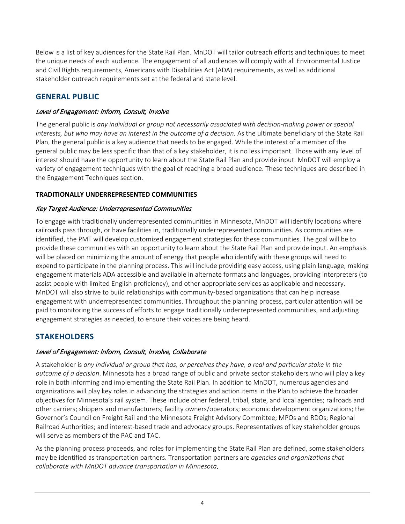Below is a list of key audiences for the State Rail Plan. MnDOT will tailor outreach efforts and techniques to meet the unique needs of each audience. The engagement of all audiences will comply with all Environmental Justice and Civil Rights requirements, Americans with Disabilities Act (ADA) requirements, as well as additional stakeholder outreach requirements set at the federal and state level.

### **GENERAL PUBLIC**

### Level of Engagement: Inform, Consult, Involve

The general public is *any individual or group not necessarily associated with decision-making power or special interests, but who may have an interest in the outcome of a decision.* As the ultimate beneficiary of the State Rail Plan, the general public is a key audience that needs to be engaged. While the interest of a member of the general public may be less specific than that of a key stakeholder, it is no less important. Those with any level of interest should have the opportunity to learn about the State Rail Plan and provide input. MnDOT will employ a variety of engagement techniques with the goal of reaching a broad audience. These techniques are described in the Engagement Techniques section.

### **TRADITIONALLY UNDERREPRESENTED COMMUNITIES**

### Key Target Audience: Underrepresented Communities

To engage with traditionally underrepresented communities in Minnesota, MnDOT will identify locations where railroads pass through, or have facilities in, traditionally underrepresented communities. As communities are identified, the PMT will develop customized engagement strategies for these communities. The goal will be to provide these communities with an opportunity to learn about the State Rail Plan and provide input. An emphasis will be placed on minimizing the amount of energy that people who identify with these groups will need to expend to participate in the planning process. This will include providing easy access, using plain language, making engagement materials ADA accessible and available in alternate formats and languages, providing interpreters (to assist people with limited English proficiency), and other appropriate services as applicable and necessary. MnDOT will also strive to build relationships with community-based organizations that can help increase engagement with underrepresented communities. Throughout the planning process, particular attention will be paid to monitoring the success of efforts to engage traditionally underrepresented communities, and adjusting engagement strategies as needed, to ensure their voices are being heard.

### **STAKEHOLDERS**

### Level of Engagement: Inform, Consult, Involve, Collaborate

A stakeholder is *any individual or group that has, or perceives they have, a real and particular stake in the outcome of a decision*. Minnesota has a broad range of public and private sector stakeholders who will play a key role in both informing and implementing the State Rail Plan. In addition to MnDOT, numerous agencies and organizations will play key roles in advancing the strategies and action items in the Plan to achieve the broader objectives for Minnesota's rail system. These include other federal, tribal, state, and local agencies; railroads and other carriers; shippers and manufacturers; facility owners/operators; economic development organizations; the Governor's Council on Freight Rail and the Minnesota Freight Advisory Committee; MPOs and RDOs; Regional Railroad Authorities; and interest-based trade and advocacy groups. Representatives of key stakeholder groups will serve as members of the PAC and TAC.

As the planning process proceeds, and roles for implementing the State Rail Plan are defined, some stakeholders may be identified as transportation partners. Transportation partners are *agencies and organizations that collaborate with MnDOT advance transportation in Minnesota*.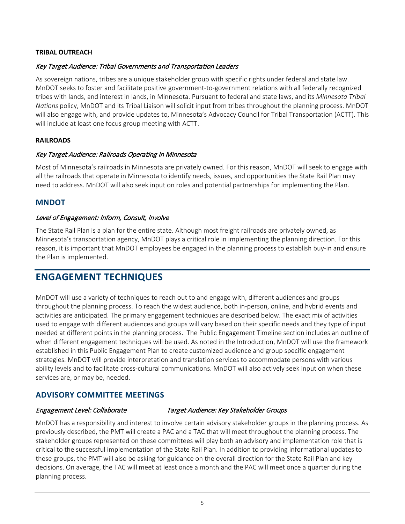#### **TRIBAL OUTREACH**

#### Key Target Audience: Tribal Governments and Transportation Leaders

As sovereign nations, tribes are a unique stakeholder group with specific rights under federal and state law. MnDOT seeks to foster and facilitate positive government-to-government relations with all federally recognized tribes with lands, and interest in lands, in Minnesota. Pursuant to federal and state laws, and its *Minnesota Tribal Nations* policy, MnDOT and its Tribal Liaison will solicit input from tribes throughout the planning process. MnDOT will also engage with, and provide updates to, Minnesota's Advocacy Council for Tribal Transportation (ACTT). This will include at least one focus group meeting with ACTT.

#### **RAILROADS**

#### Key Target Audience: Railroads Operating in Minnesota

Most of Minnesota's railroads in Minnesota are privately owned. For this reason, MnDOT will seek to engage with all the railroads that operate in Minnesota to identify needs, issues, and opportunities the State Rail Plan may need to address. MnDOT will also seek input on roles and potential partnerships for implementing the Plan.

#### **MNDOT**

#### Level of Engagement: Inform, Consult, Involve

The State Rail Plan is a plan for the entire state. Although most freight railroads are privately owned, as Minnesota's transportation agency, MnDOT plays a critical role in implementing the planning direction. For this reason, it is important that MnDOT employees be engaged in the planning process to establish buy-in and ensure the Plan is implemented.

## <span id="page-8-0"></span>**ENGAGEMENT TECHNIQUES**

MnDOT will use a variety of techniques to reach out to and engage with, different audiences and groups throughout the planning process. To reach the widest audience, both in-person, online, and hybrid events and activities are anticipated. The primary engagement techniques are described below. The exact mix of activities used to engage with different audiences and groups will vary based on their specific needs and they type of input needed at different points in the planning process. The Public Engagement Timeline section includes an outline of when different engagement techniques will be used. As noted in the Introduction, MnDOT will use the framework established in this Public Engagement Plan to create customized audience and group specific engagement strategies. MnDOT will provide interpretation and translation services to accommodate persons with various ability levels and to facilitate cross-cultural communications. MnDOT will also actively seek input on when these services are, or may be, needed.

### **ADVISORY COMMITTEE MEETINGS**

#### Engagement Level: Collaborate Target Audience: Key Stakeholder Groups

MnDOT has a responsibility and interest to involve certain advisory stakeholder groups in the planning process. As previously described, the PMT will create a PAC and a TAC that will meet throughout the planning process. The stakeholder groups represented on these committees will play both an advisory and implementation role that is critical to the successful implementation of the State Rail Plan. In addition to providing informational updates to these groups, the PMT will also be asking for guidance on the overall direction for the State Rail Plan and key decisions. On average, the TAC will meet at least once a month and the PAC will meet once a quarter during the planning process.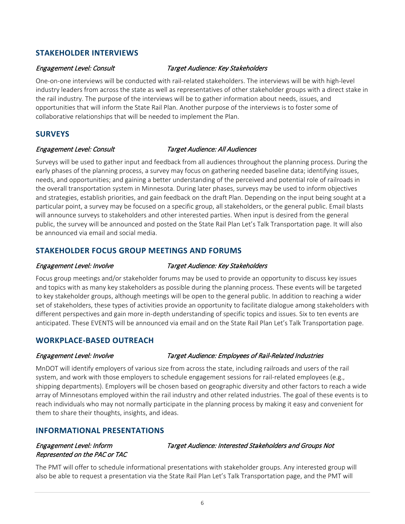### **STAKEHOLDER INTERVIEWS**

#### Engagement Level: Consult Target Audience: Key Stakeholders

One-on-one interviews will be conducted with rail-related stakeholders. The interviews will be with high-level industry leaders from across the state as well as representatives of other stakeholder groups with a direct stake in the rail industry. The purpose of the interviews will be to gather information about needs, issues, and opportunities that will inform the State Rail Plan. Another purpose of the interviews is to foster some of collaborative relationships that will be needed to implement the Plan.

### **SURVEYS**

#### Engagement Level: Consult Target Audience: All Audiences

Surveys will be used to gather input and feedback from all audiences throughout the planning process. During the early phases of the planning process, a survey may focus on gathering needed baseline data; identifying issues, needs, and opportunities; and gaining a better understanding of the perceived and potential role of railroads in the overall transportation system in Minnesota. During later phases, surveys may be used to inform objectives and strategies, establish priorities, and gain feedback on the draft Plan. Depending on the input being sought at a particular point, a survey may be focused on a specific group, all stakeholders, or the general public. Email blasts will announce surveys to stakeholders and other interested parties. When input is desired from the general public, the survey will be announced and posted on the State Rail Plan Let's Talk Transportation page. It will also be announced via email and social media.

### **STAKEHOLDER FOCUS GROUP MEETINGS AND FORUMS**

#### Engagement Level: Involve Target Audience: Key Stakeholders

Focus group meetings and/or stakeholder forums may be used to provide an opportunity to discuss key issues and topics with as many key stakeholders as possible during the planning process. These events will be targeted to key stakeholder groups, although meetings will be open to the general public. In addition to reaching a wider set of stakeholders, these types of activities provide an opportunity to facilitate dialogue among stakeholders with different perspectives and gain more in-depth understanding of specific topics and issues. Six to ten events are anticipated. These EVENTS will be announced via email and on the State Rail Plan Let's Talk Transportation page.

### **WORKPLACE-BASED OUTREACH**

#### Engagement Level: Involve Target Audience: Employees of Rail-Related Industries

MnDOT will identify employers of various size from across the state, including railroads and users of the rail system, and work with those employers to schedule engagement sessions for rail-related employees (e.g., shipping departments). Employers will be chosen based on geographic diversity and other factors to reach a wide array of Minnesotans employed within the rail industry and other related industries. The goal of these events is to reach individuals who may not normally participate in the planning process by making it easy and convenient for them to share their thoughts, insights, and ideas.

### **INFORMATIONAL PRESENTATIONS**

# Represented on the PAC or TAC

Engagement Level: Inform Target Audience: Interested Stakeholders and Groups Not

The PMT will offer to schedule informational presentations with stakeholder groups. Any interested group will also be able to request a presentation via the State Rail Plan Let's Talk Transportation page, and the PMT will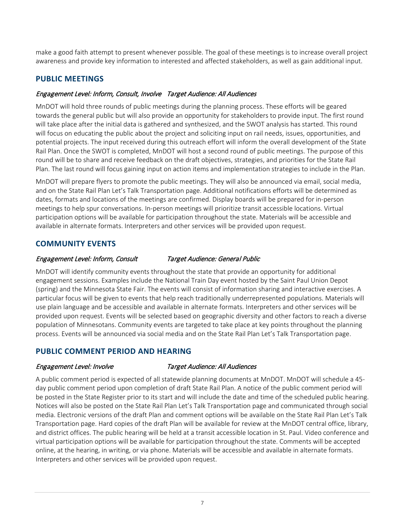make a good faith attempt to present whenever possible. The goal of these meetings is to increase overall project awareness and provide key information to interested and affected stakeholders, as well as gain additional input.

### **PUBLIC MEETINGS**

#### Engagement Level: Inform, Consult, Involve Target Audience: All Audiences

MnDOT will hold three rounds of public meetings during the planning process. These efforts will be geared towards the general public but will also provide an opportunity for stakeholders to provide input. The first round will take place after the initial data is gathered and synthesized, and the SWOT analysis has started. This round will focus on educating the public about the project and soliciting input on rail needs, issues, opportunities, and potential projects. The input received during this outreach effort will inform the overall development of the State Rail Plan. Once the SWOT is completed, MnDOT will host a second round of public meetings. The purpose of this round will be to share and receive feedback on the draft objectives, strategies, and priorities for the State Rail Plan. The last round will focus gaining input on action items and implementation strategies to include in the Plan.

MnDOT will prepare flyers to promote the public meetings. They will also be announced via email, social media, and on the State Rail Plan Let's Talk Transportation page. Additional notifications efforts will be determined as dates, formats and locations of the meetings are confirmed. Display boards will be prepared for in-person meetings to help spur conversations. In-person meetings will prioritize transit accessible locations. Virtual participation options will be available for participation throughout the state. Materials will be accessible and available in alternate formats. Interpreters and other services will be provided upon request.

### **COMMUNITY EVENTS**

#### Engagement Level: Inform, Consult Target Audience: General Public

MnDOT will identify community events throughout the state that provide an opportunity for additional engagement sessions. Examples include the National Train Day event hosted by the Saint Paul Union Depot (spring) and the Minnesota State Fair. The events will consist of information sharing and interactive exercises. A particular focus will be given to events that help reach traditionally underrepresented populations. Materials will use plain language and be accessible and available in alternate formats. Interpreters and other services will be provided upon request. Events will be selected based on geographic diversity and other factors to reach a diverse population of Minnesotans. Community events are targeted to take place at key points throughout the planning process. Events will be announced via social media and on the State Rail Plan Let's Talk Transportation page.

### **PUBLIC COMMENT PERIOD AND HEARING**

#### Engagement Level: Involve Target Audience: All Audiences

A public comment period is expected of all statewide planning documents at MnDOT. MnDOT will schedule a 45 day public comment period upon completion of draft State Rail Plan. A notice of the public comment period will be posted in the State Register prior to its start and will include the date and time of the scheduled public hearing. Notices will also be posted on the State Rail Plan Let's Talk Transportation page and communicated through social media. Electronic versions of the draft Plan and comment options will be available on the State Rail Plan Let's Talk Transportation page. Hard copies of the draft Plan will be available for review at the MnDOT central office, library, and district offices. The public hearing will be held at a transit accessible location in St. Paul. Video conference and virtual participation options will be available for participation throughout the state. Comments will be accepted online, at the hearing, in writing, or via phone. Materials will be accessible and available in alternate formats. Interpreters and other services will be provided upon request.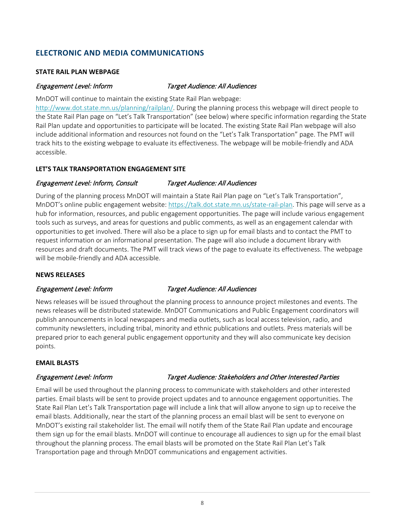### **ELECTRONIC AND MEDIA COMMUNICATIONS**

#### **STATE RAIL PLAN WEBPAGE**

#### Engagement Level: Inform Target Audience: All Audiences

MnDOT will continue to maintain the existing State Rail Plan webpage:

[http://www.dot.state.mn.us/planning/railplan/.](http://www.dot.state.mn.us/planning/railplan/) During the planning process this webpage will direct people to the State Rail Plan page on "Let's Talk Transportation" (see below) where specific information regarding the State Rail Plan update and opportunities to participate will be located. The existing State Rail Plan webpage will also include additional information and resources not found on the "Let's Talk Transportation" page. The PMT will track hits to the existing webpage to evaluate its effectiveness. The webpage will be mobile-friendly and ADA accessible.

#### **LET'S TALK TRANSPORTATION ENGAGEMENT SITE**

#### Engagement Level: Inform, Consult Target Audience: All Audiences

During of the planning process MnDOT will maintain a State Rail Plan page on "Let's Talk Transportation", MnDOT's online public engagement website[: https://talk.dot.state.mn.us/state-rail-plan.](https://talk.dot.state.mn.us/state-rail-plan) This page will serve as a hub for information, resources, and public engagement opportunities. The page will include various engagement tools such as surveys, and areas for questions and public comments, as well as an engagement calendar with opportunities to get involved. There will also be a place to sign up for email blasts and to contact the PMT to request information or an informational presentation. The page will also include a document library with resources and draft documents. The PMT will track views of the page to evaluate its effectiveness. The webpage will be mobile-friendly and ADA accessible.

#### **NEWS RELEASES**

#### Engagement Level: Inform Target Audience: All Audiences

News releases will be issued throughout the planning process to announce project milestones and events. The news releases will be distributed statewide. MnDOT Communications and Public Engagement coordinators will publish announcements in local newspapers and media outlets, such as local access television, radio, and community newsletters, including tribal, minority and ethnic publications and outlets. Press materials will be prepared prior to each general public engagement opportunity and they will also communicate key decision points.

#### **EMAIL BLASTS**

#### Engagement Level: Inform Target Audience: Stakeholders and Other Interested Parties

Email will be used throughout the planning process to communicate with stakeholders and other interested parties. Email blasts will be sent to provide project updates and to announce engagement opportunities. The State Rail Plan Let's Talk Transportation page will include a link that will allow anyone to sign up to receive the email blasts. Additionally, near the start of the planning process an email blast will be sent to everyone on MnDOT's existing rail stakeholder list. The email will notify them of the State Rail Plan update and encourage them sign up for the email blasts. MnDOT will continue to encourage all audiences to sign up for the email blast throughout the planning process. The email blasts will be promoted on the State Rail Plan Let's Talk Transportation page and through MnDOT communications and engagement activities.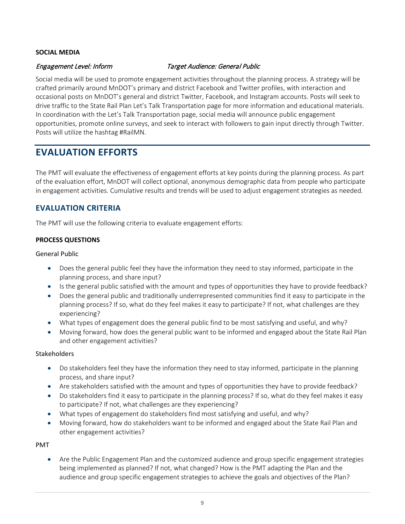#### **SOCIAL MEDIA**

#### Engagement Level: Inform Target Audience: General Public

Social media will be used to promote engagement activities throughout the planning process. A strategy will be crafted primarily around MnDOT's primary and district Facebook and Twitter profiles, with interaction and occasional posts on MnDOT's general and district Twitter, Facebook, and Instagram accounts. Posts will seek to drive traffic to the State Rail Plan Let's Talk Transportation page for more information and educational materials. In coordination with the Let's Talk Transportation page, social media will announce public engagement opportunities, promote online surveys, and seek to interact with followers to gain input directly through Twitter. Posts will utilize the hashtag #RailMN.

# <span id="page-12-0"></span>**EVALUATION EFFORTS**

The PMT will evaluate the effectiveness of engagement efforts at key points during the planning process. As part of the evaluation effort, MnDOT will collect optional, anonymous demographic data from people who participate in engagement activities. Cumulative results and trends will be used to adjust engagement strategies as needed.

### **EVALUATION CRITERIA**

The PMT will use the following criteria to evaluate engagement efforts:

#### **PROCESS QUESTIONS**

#### General Public

- Does the general public feel they have the information they need to stay informed, participate in the planning process, and share input?
- Is the general public satisfied with the amount and types of opportunities they have to provide feedback?
- Does the general public and traditionally underrepresented communities find it easy to participate in the planning process? If so, what do they feel makes it easy to participate? If not, what challenges are they experiencing?
- What types of engagement does the general public find to be most satisfying and useful, and why?
- Moving forward, how does the general public want to be informed and engaged about the State Rail Plan and other engagement activities?

#### Stakeholders

- Do stakeholders feel they have the information they need to stay informed, participate in the planning process, and share input?
- Are stakeholders satisfied with the amount and types of opportunities they have to provide feedback?
- Do stakeholders find it easy to participate in the planning process? If so, what do they feel makes it easy to participate? If not, what challenges are they experiencing?
- What types of engagement do stakeholders find most satisfying and useful, and why?
- Moving forward, how do stakeholders want to be informed and engaged about the State Rail Plan and other engagement activities?

#### PMT

• Are the Public Engagement Plan and the customized audience and group specific engagement strategies being implemented as planned? If not, what changed? How is the PMT adapting the Plan and the audience and group specific engagement strategies to achieve the goals and objectives of the Plan?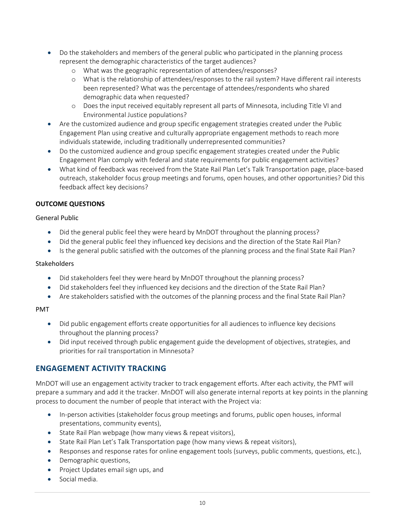- Do the stakeholders and members of the general public who participated in the planning process represent the demographic characteristics of the target audiences?
	- o What was the geographic representation of attendees/responses?
	- o What is the relationship of attendees/responses to the rail system? Have different rail interests been represented? What was the percentage of attendees/respondents who shared demographic data when requested?
	- o Does the input received equitably represent all parts of Minnesota, including Title VI and Environmental Justice populations?
- Are the customized audience and group specific engagement strategies created under the Public Engagement Plan using creative and culturally appropriate engagement methods to reach more individuals statewide, including traditionally underrepresented communities?
- Do the customized audience and group specific engagement strategies created under the Public Engagement Plan comply with federal and state requirements for public engagement activities?
- What kind of feedback was received from the State Rail Plan Let's Talk Transportation page, place-based outreach, stakeholder focus group meetings and forums, open houses, and other opportunities? Did this feedback affect key decisions?

#### **OUTCOME QUESTIONS**

#### General Public

- Did the general public feel they were heard by MnDOT throughout the planning process?
- Did the general public feel they influenced key decisions and the direction of the State Rail Plan?
- Is the general public satisfied with the outcomes of the planning process and the final State Rail Plan?

#### **Stakeholders**

- Did stakeholders feel they were heard by MnDOT throughout the planning process?
- Did stakeholders feel they influenced key decisions and the direction of the State Rail Plan?
- Are stakeholders satisfied with the outcomes of the planning process and the final State Rail Plan?

#### PMT

- Did public engagement efforts create opportunities for all audiences to influence key decisions throughout the planning process?
- Did input received through public engagement guide the development of objectives, strategies, and priorities for rail transportation in Minnesota?

### **ENGAGEMENT ACTIVITY TRACKING**

MnDOT will use an engagement activity tracker to track engagement efforts. After each activity, the PMT will prepare a summary and add it the tracker. MnDOT will also generate internal reports at key points in the planning process to document the number of people that interact with the Project via:

- In-person activities (stakeholder focus group meetings and forums, public open houses, informal presentations, community events),
- State Rail Plan webpage (how many views & repeat visitors),
- State Rail Plan Let's Talk Transportation page (how many views & repeat visitors),
- Responses and response rates for online engagement tools (surveys, public comments, questions, etc.),
- Demographic questions,
- Project Updates email sign ups, and
- Social media.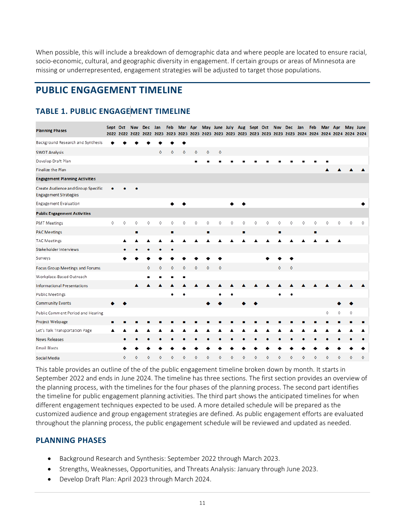When possible, this will include a breakdown of demographic data and where people are located to ensure racial, socio-economic, cultural, and geographic diversity in engagement. If certain groups or areas of Minnesota are missing or underrepresented, engagement strategies will be adjusted to target those populations.

# <span id="page-14-0"></span>**PUBLIC ENGAGEMENT TIMELINE**

# <span id="page-14-1"></span>**TABLE 1. PUBLIC ENGAGEMENT TIMELINE**

| <b>Planning Phases</b>                                                    |            | Sept Oct | <b>Nov</b><br>2022 2022 2022 | Dec Jan<br>2022    | 2023               | Feb              |   |   |             |            |   |   | Mar Apr May June July Aug Sept Oct Nov Dec Jan |   |                    |                     |   | Feb            | Mar Apr |   |                    | May June    |
|---------------------------------------------------------------------------|------------|----------|------------------------------|--------------------|--------------------|------------------|---|---|-------------|------------|---|---|------------------------------------------------|---|--------------------|---------------------|---|----------------|---------|---|--------------------|-------------|
| Background Research and Synthesis                                         |            |          |                              |                    |                    |                  | ٠ |   |             |            |   |   |                                                |   |                    |                     |   |                |         |   |                    |             |
| <b>SWOT Analysis</b>                                                      |            |          |                              |                    | $\mathbf \circ$    | $\mathbf{\circ}$ | 0 | ٥ | $\Diamond$  | $\Diamond$ |   |   |                                                |   |                    |                     |   |                |         |   |                    |             |
| Develop Draft Plan                                                        |            |          |                              |                    |                    |                  |   |   |             |            |   |   |                                                |   |                    |                     |   |                |         |   |                    |             |
| Finalize the Plan                                                         |            |          |                              |                    |                    |                  |   |   |             |            |   |   |                                                |   |                    |                     |   |                |         |   |                    |             |
| <b>Engagement Planning Activities</b>                                     |            |          |                              |                    |                    |                  |   |   |             |            |   |   |                                                |   |                    |                     |   |                |         |   |                    |             |
| <b>Create Audience and Group Specific</b><br><b>Engagement Strategies</b> | ٠          |          |                              |                    |                    |                  |   |   |             |            |   |   |                                                |   |                    |                     |   |                |         |   |                    |             |
| Engagement Evaluation                                                     |            |          |                              |                    |                    |                  |   |   |             |            |   |   |                                                |   |                    |                     |   |                |         |   |                    |             |
| <b>Public Engagement Activities</b>                                       |            |          |                              |                    |                    |                  |   |   |             |            |   |   |                                                |   |                    |                     |   |                |         |   |                    |             |
| <b>PMT</b> Meetings                                                       | $\Diamond$ | 0        | $\Diamond$                   | 0                  | ♦                  | ♦                | 0 | 0 | $\Diamond$  | $\Diamond$ | 0 | ♦ | 0                                              | 0 | ♦                  | ♦                   | 0 | 0              | Ô       | Ô | $\Diamond$         | ♦           |
| <b>PAC Meetings</b>                                                       |            |          | п                            |                    |                    | п                |   |   | п           |            |   | п |                                                |   | ٠                  |                     |   | $\blacksquare$ |         |   |                    |             |
| <b>TAC Meetings</b>                                                       |            |          |                              |                    |                    |                  |   |   |             |            |   |   |                                                |   |                    |                     |   |                |         |   |                    |             |
| Stakeholder Interviews                                                    |            |          |                              |                    |                    |                  |   |   |             |            |   |   |                                                |   |                    |                     |   |                |         |   |                    |             |
| Surveys                                                                   |            |          |                              |                    |                    |                  |   |   |             |            |   |   |                                                |   |                    |                     |   |                |         |   |                    |             |
| Focus Group Meetings and Forums                                           |            |          |                              | $\mathbf{\hat{o}}$ | $\mathbf{\hat{o}}$ | $\Diamond$       | O | ٥ | $\mathbf o$ | $\Diamond$ |   |   |                                                |   | $\mathbf{\hat{o}}$ | $\mathbf{\lozenge}$ |   |                |         |   |                    |             |
| Workplace-Based Outreach                                                  |            |          |                              | ٠                  | ■                  |                  | ٠ |   |             |            |   |   |                                                |   |                    |                     |   |                |         |   |                    |             |
| <b>Informational Presentations</b>                                        |            |          | A                            |                    |                    |                  |   |   |             |            |   |   |                                                |   |                    |                     |   |                |         |   |                    |             |
| Public Meetings                                                           |            |          |                              |                    |                    | ٠                |   |   |             |            | ٠ |   |                                                |   |                    |                     |   |                |         |   |                    |             |
| <b>Community Events</b>                                                   |            |          |                              |                    |                    |                  |   |   |             |            |   |   |                                                |   |                    |                     |   |                |         |   |                    |             |
| Public Comment Period and Hearing                                         |            |          |                              |                    |                    |                  |   |   |             |            |   |   |                                                |   |                    |                     |   |                | 0       | ٥ | ♦                  |             |
| Project Webpage                                                           | п          |          |                              |                    |                    |                  |   |   |             |            |   |   |                                                |   |                    |                     |   |                |         |   |                    | п           |
| Let's Talk Transportation Page                                            |            |          |                              |                    |                    |                  |   |   |             |            |   |   |                                                |   |                    |                     |   |                |         |   |                    |             |
| <b>News Releases</b>                                                      |            | ۰        |                              |                    |                    |                  |   |   |             |            |   |   |                                                |   |                    |                     |   |                |         |   |                    |             |
| Email Blasts                                                              |            |          |                              |                    |                    |                  |   |   |             |            |   |   |                                                |   |                    |                     |   |                |         |   |                    |             |
| Social Media                                                              |            | Ô        |                              | ە                  | Ô                  | ٥                | ۵ | ٥ | Ô           | ٥          | ó | Ô | ۵                                              | ó | ô                  | Δ                   | ە | ۵              | Λ       | Ô | $\mathbf{\hat{o}}$ | $\mathbf o$ |

This table provides an outline of the of the public engagement timeline broken down by month. It starts in September 2022 and ends in June 2024. The timeline has three sections. The first section provides an overview of the planning process, with the timelines for the four phases of the planning process. The second part identifies the timeline for public engagement planning activities. The third part shows the anticipated timelines for when different engagement techniques expected to be used. A more detailed schedule will be prepared as the customized audience and group engagement strategies are defined. As public engagement efforts are evaluated throughout the planning process, the public engagement schedule will be reviewed and updated as needed.

### **PLANNING PHASES**

- Background Research and Synthesis: September 2022 through March 2023.
- Strengths, Weaknesses, Opportunities, and Threats Analysis: January through June 2023.
- Develop Draft Plan: April 2023 through March 2024.